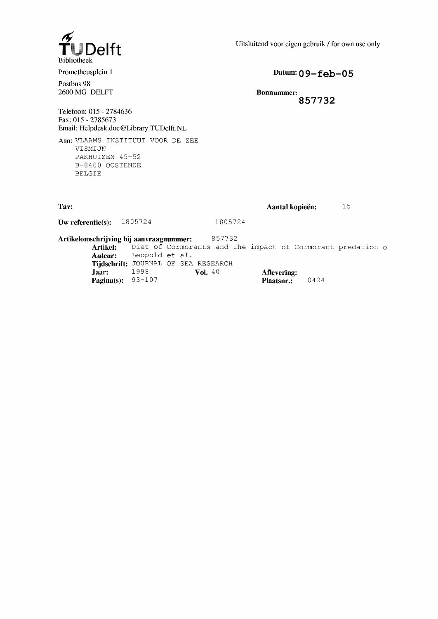

Uitsluitend voor eigen gebruik / for own use only

Prometheusplein 1

Postbus 98 2600 MG DELFT **Datum: 09-feb -05**

**Bonnummer: 857732**

Telefoon: 015 - 2784636 Fax: 015 - 2785673 Email: [Helpdesk.doc@Library.TUDelft.NL](mailto:Helpdesk.doc@Library.TUDelft.NL)

Aan: VLAAMS INSTITUUT VOOR DE ZEE VISMIJN PAKHUIZEN 45-52 B-8400 OOSTENDE BELGIE

| Tav:                        |         | Aantal kopieën: | 15 |
|-----------------------------|---------|-----------------|----|
| Uw referentie(s): $1805724$ | 1805724 |                 |    |

**Artikelomschrijving bij aanvraagnummer:** 857 7 32

Artikel: Diet of Cormorants and the impact of Cormorant predation o **Auteur:** Leopold et al. **Tijdschrift:** JOURNAL OF SEA RESEARCH **Jaar:** 1998 **Vol.** 40 **Aflevering: Pagina(s):** 93–107 **Vol.** 40 **Plaatsnr.: Pagina(s):** 93-107 **Plaatsnr.:** 0424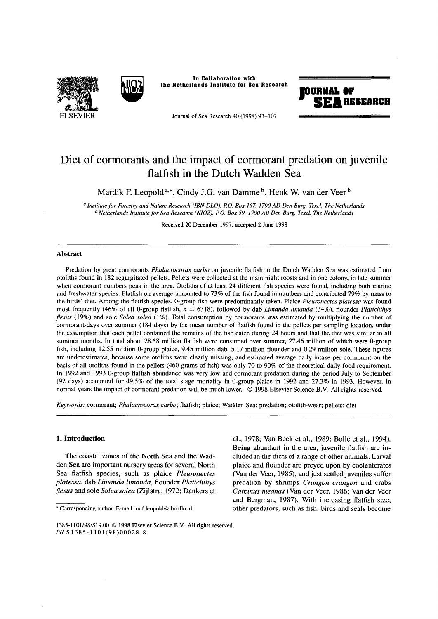



In Collaboration with the Netherlands Institute for Sea Research



Journal of Sea Research 40 (1998) 93-107

# **Diet of cormorants and the impact of cormorant predation on juvenile flatfish in the Dutch Wadden Sea**

Mardik F. Leopold<sup>a,\*</sup>, Cindy J.G. van Damme<sup>b</sup>, Henk W. van der Veer<sup>b</sup>

*a Institute fo r Forestry and Nature Research (IBN-DLO), P.O. Box 167, 1790 AD Den Burg, Texel, The Netherlands b Netherlands Institute fo r Sea Research (NIOZ), P.O. Box 59, 1790 AB Den Burg, Texel, The Netherlands*

Received 20 December 1997; accepted 2 June 1998

#### **Abstract**

Predation by great cormorants *Phalacrocorax carbo* on juvenile flatfish in the Dutch Wadden Sea was estimated from **otoliths found in 182 regurgitated pellets. Pellets were collected at the main night roosts and in one colony, in late summer when cormorant numbers peak in the area. Otoliths of at least 24 different fish species were found, including both marine and freshwater species. Flatfish on average amounted to 73% of the fish found in numbers and contributed 79% by mass to the birds' diet. Among the flatfish species, 0-group fish were predominantly taken. Plaice** *P leuronectes pla tessa* **was found most frequently (46% of all 0-group flatfish,** *n* **= 6318), followed by dab** *Lim anda lim anda* **(34%), flounder** *Platichthys fle su s* **(19%) and sole** *Solea solea* **(1%). Total consumption by cormorants was estimated by multiplying the number of cormorant-days over summer (184 days) by the mean number of flatfish found in the pellets per sampling location, under the assumption that each pellet contained the remains of the fish eaten during 24 hours and that the diet was similar in all summer months. In total about 28.58 million flatfish were consumed over summer, 27.46 million of which were 0-group fish, including 12.55 million 0-group plaice, 9.45 million dab, 5.17 million flounder and 0.29 million sole. These figures are underestimates, because some otoliths were clearly missing, and estimated average daily intake per cormorant on the basis of all otoliths found in the pellets (460 grams of fish) was only 70 to 90% of the theoretical daily food requirement. In 1992 and 1993 0-group flatfish abundance was very low and cormorant predation during the period July to September** (92 days) accounted for 49.5% of the total stage mortality in 0-group plaice in 1992 and 27.3% in 1993. However, in normal years the impact of cormorant predation will be much lower. © 1998 Elsevier Science B.V. All rights reserved.

*K eyw ords:* **cormorant;** *P halacrocorax ca rb o* **; flatfish; plaice; Wadden Sea; predation; otolith-wear; pellets; diet**

## **1. Introduction**

The coastal zones of the North Sea and the Wadden Sea are important nursery areas for several North Sea flatfish species, such as plaice *Pleuronectes platessa*, dab *Limanda limanda,* flounder *Platichthys flesus* and sole *Solea solea* (Zijlstra, 1972; Dankers et al., 1978; Van Beek et al., 1989; Bolle et al., 1994). Being abundant in the area, juvenile flatfish are included in the diets of a range of other animals. Larval plaice and flounder are preyed upon by coelenterates (Van der Veer, 1985), and just settled juveniles suffer predation by shrimps *Crangon crangon* and crabs *Carcinus meanas* (Van der Veer, 1986; Van der Veer and Bergman, 1987). With increasing flatfish size, other predators, such as fish, birds and seals become

<sup>\*</sup> Corresponding author. E-mail: [m.f.leopold@ibn.dlo.nl](mailto:m.f.leopold@ibn.dlo.nl)

<sup>1385-1101/98/\$19.00 © 1998</sup> Elsevier Science B.V. All rights reserved. PII S 1 3 8 5 - 1 1 0 1 (9 8 ) 0 0 0 2 8 - 8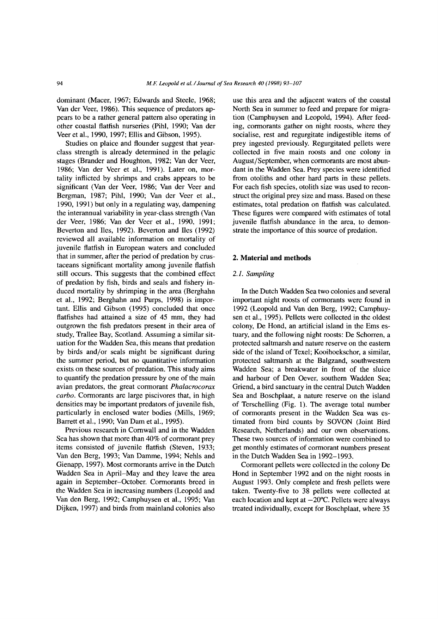dominant (Macer, 1967; Edwards and Steele, 1968; Van der Veer, 1986). This sequence of predators appears to be a rather general pattem also operating in other coastal flatfish nurseries (Pihl, 1990; Van der Veer et al., 1990, 1997; Ellis and Gibson, 1995).

Studies on plaice and flounder suggest that yearclass strength is already determined in the pelagic stages (Brander and Houghton, 1982; Van der Veer, 1986; Van der Veer et al., 1991). Later on, mortality inflicted by shrimps and crabs appears to be significant (Van der Veer, 1986; Van der Veer and Bergman, 1987; Pihl, 1990; Van der Veer et al., 1990, 1991) but only in a regulating way, dampening the interannual variability in year-class strength (Van der Veer, 1986; Van der Veer et al., 1990, 1991; Beverton and lies, 1992). Beverton and lies (1992) reviewed all available information on mortality of juvenile flatfish in European waters and concluded that in summer, after the period of predation by crustaceans significant mortality among juvenile flatfish still occurs. This suggests that the combined effect of predation by fish, birds and seals and fishery induced mortality by shrimping in the area (Berghahn et al., 1992; Berghahn and Purps, 1998) is important. Ellis and Gibson (1995) concluded that once flatfishes had attained a size of 45 mm, they had outgrown the fish predators present in their area of study, Trallee Bay, Scotland. Assuming a similar situation for the Wadden Sea, this means that predation by birds and/or seals might be significant during the summer period, but no quantitative information exists on these sources of predation. This study aims to quantify the predation pressure by one of the main avian predators, the great cormorant *Phalacrocorax carbo.* Cormorants are large piscivores that, in high densities may be important predators of juvenile fish, particularly in enclosed water bodies (Mills, 1969; Barrett et al., 1990; Van Dam et al., 1995).

Previous research in Cornwall and in the Wadden Sea has shown that more than 40% of cormorant prey items consisted of juvenile flatfish (Steven, 1933; Van den Berg, 1993; Van Damme, 1994; Nehls and Gienapp, 1997). Most cormorants arrive in the Dutch Wadden Sea in April-May and they leave the area again in September-October. Cormorants breed in the Wadden Sea in increasing numbers (Leopold and Van den Berg, 1992; Camphuysen et al., 1995; Van Dijken, 1997) and birds from mainland colonies also

use this area and the adjacent waters of the coastal North Sea in summer to feed and prepare for migration (Camphuysen and Leopold, 1994). After feeding, cormorants gather on night roosts, where they socialise, rest and regurgitate indigestible items of prey ingested previously. Regurgitated pellets were collected in five main roosts and one colony in August/September, when cormorants are most abundant in the Wadden Sea. Prey species were identified from otoliths and other hard parts in these pellets. For each fish species, otolith size was used to reconstruct the original prey size and mass. Based on these estimates, total predation on flatfish was calculated. These figures were compared with estimates of total juvenile flatfish abundance in the area, to demonstrate the importance of this source of predation.

#### **2. Material and methods**

#### *2.1. Sampling*

In the Dutch Wadden Sea two colonies and several important night roosts of cormorants were found in 1992 (Leopold and Van den Berg, 1992; Camphuysen et al., 1995). Pellets were collected in the oldest colony, De Hond, an artificial island in the Ems estuary, and the following night roosts: De Schorren, a protected saltmarsh and nature reserve on the eastern side of the island of Texel; Kooihoekschor, a similar, protected saltmarsh at the Balgzand, southwestern Wadden Sea; a breakwater in front of the sluice and harbour of Den Oever, southern Wadden Sea; Griend, a bird sanctuary in the central Dutch Wadden Sea and Boschplaat, a nature reserve on the island of Terschelling (Fig. 1). The average total number of cormorants present in the Wadden Sea was estimated from bird counts by SOVON (Joint Bird Research, Netherlands) and our own observations. These two sources of information were combined to get monthly estimates of cormorant numbers present in the Dutch Wadden Sea in 1992-1993.

Cormorant pellets were collected in the colony De Hond in September 1992 and on the night roosts in August 1993. Only complete and fresh pellets were taken. Twenty-five to 38 pellets were collected at each location and kept at  $-20^{\circ}$ C. Pellets were always treated individually, except for Boschplaat, where 35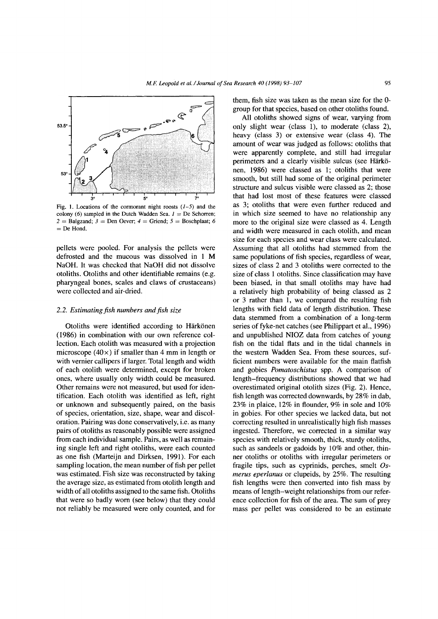

Fig. 1. Locations of the cormorant night roosts *(1-5)* and the colony (6) sampled in the Dutch Wadden Sea. *1 =* De Schorren;  $2 =$  Balgzand;  $3 =$  Den Oever;  $4 =$  Griend;  $5 =$  Boschplaat; 6 *=* De Hond.

pellets were pooled. For analysis the pellets were defrosted and the mucous was dissolved in 1 M NaOH. It was checked that NaOH did not dissolve otoliths. Otoliths and other identifiable remains (e.g. pharyngeal bones, scales and claws of crustaceans) were collected and air-dried.

## 2.2. *Estimating fish numbers and fish size*

Otoliths were identified according to Härkönen (1986) in combination with our own reference collection. Each otolith was measured with a projection microscope (40 $\times$ ) if smaller than 4 mm in length or with vernier callipers if larger. Total length and width of each otolith were determined, except for broken ones, where usually only width could be measured. Other remains were not measured, but used for identification. Each otolith was identified as left, right or unknown and subsequently paired, on the basis of species, orientation, size, shape, wear and discoloration. Pairing was done conservatively, i.e. as many pairs of otoliths as reasonably possible were assigned from each individual sample. Pairs, as well as remaining single left and right otoliths, were each counted as one fish (Marteijn and Dirksen, 1991). For each sampling location, the mean number of fish per pellet was estimated. Fish size was reconstructed by taking the average size, as estimated from otolith length and width of all otoliths assigned to the same fish. Otoliths that were so badly worn (see below) that they could not reliably be measured were only counted, and for them, fish size was taken as the mean size for the 0 group for that species, based on other otoliths found.

All otoliths showed signs of wear, varying from only slight wear (class 1), to moderate (class 2), heavy (class 3) or extensive wear (class 4). The amount of wear was judged as follows: otoliths that were apparently complete, and still had irregular perimeters and a clearly visible sulcus (see Härkönen, 1986) were classed as 1; otoliths that were smooth, but still had some of the original perimeter structure and sulcus visible were classed as 2; those that had lost most of these features were classed as 3; otoliths that were even further reduced and in which size seemed to have no relationship any more to the original size were classed as 4. Length and width were measured in each otolith, and mean size for each species and wear class were calculated. Assuming that all otoliths had stemmed from the same populations of fish species, regardless of wear, sizes of class 2 and 3 otoliths were corrected to the size of class 1 otoliths. Since classification may have been biased, in that small otoliths may have had a relatively high probability of being classed as 2 or 3 rather than 1, we compared the resulting fish lengths with field data of length distribution. These data stemmed from a combination of a long-term series of fyke-net catches (see Philippart et al., 1996) and unpublished NIOZ data from catches of young fish on the tidal flats and in the tidal channels in the western Wadden Sea. From these sources, sufficient numbers were available for the main flatfish and gobies *Pomatoschistus* spp. A comparison of length-frequency distributions showed that we had overestimated original otolith sizes (Fig. 2). Hence, fish length was corrected downwards, by 28% in dab, 23% in plaice, 12% in flounder, 9% in sole and 10% in gobies. For other species we lacked data, but not correcting resulted in unrealistically high fish masses ingested. Therefore, we corrected in a similar way species with relatively smooth, thick, sturdy otoliths, such as sandeels or gadoids by 10% and other, thinner otoliths or otoliths with irregular perimeters or fragile tips, such as cyprinids, perches, smelt *Osmerus eperlanus* or clupeids, by 25%. The resulting fish lengths were then converted into fish mass by means of length-weight relationships from our reference collection for fish of the area. The sum of prey mass per pellet was considered to be an estimate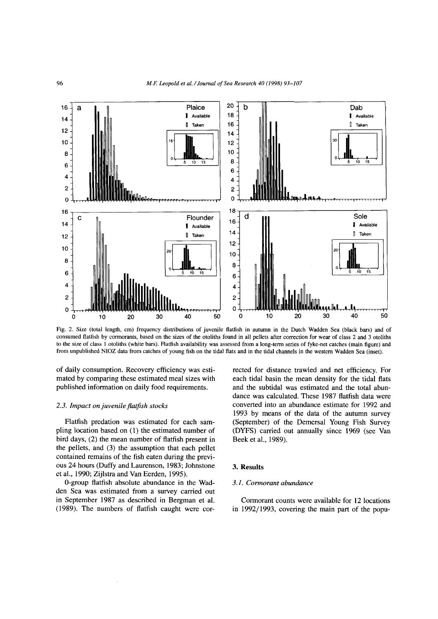

Fig. 2. Size (total length, cm) frequency distributions of juvenile flatfish in autumn in the Dutch Wadden Sea (black bars) and of consumed flatfish by cormorants, based on the sizes of the otoliths found in all pellets after correction for wear of class 2 and 3 otoliths to the size of class 1 otoliths (white bars). Flatfish availability was assessed from a long-term series of fyke-net catches (main figure) and from unpublished NIOZ data from catches of young fish on the tidal flats and in the tidal channels in the western Wadden Sea (inset).

of daily consumption. Recovery efficiency was estimated by comparing these estimated meal sizes with published information on daily food requirements.

#### *2.3. Impact on juvenile flatfish stocks*

Flatfish predation was estimated for each sampling location based on (1) the estimated number of bird days, (2) the mean number of flatfish present in the pellets, and (3) the assumption that each pellet contained remains of the fish eaten during the previous 24 hours (Duffy and Laurenson, 1983; Johnstone et al., 1990; Zijlstra and Van Eerden, 1995).

0-group flatfish absolute abundance in the Wadden Sea was estimated from a survey carried out in September 1987 as described in Bergman et al. (1989). The numbers of flatfish caught were corrected for distance trawled and net efficiency. For each tidal basin the mean density for the tidal flats and the subtidal was estimated and the total abundance was calculated. These 1987 flatfish data were converted into an abundance estimate for 1992 and 1993 by means of the data of the autumn survey (September) of the Demersal Young Fish Survey (DYFS) carried out annually since 1969 (see Van Beek et al., 1989).

## **3. Results**

## *3.1. Cormorant abundance*

Cormorant counts were available for 12 locations in 1992/1993, covering the main part of the popu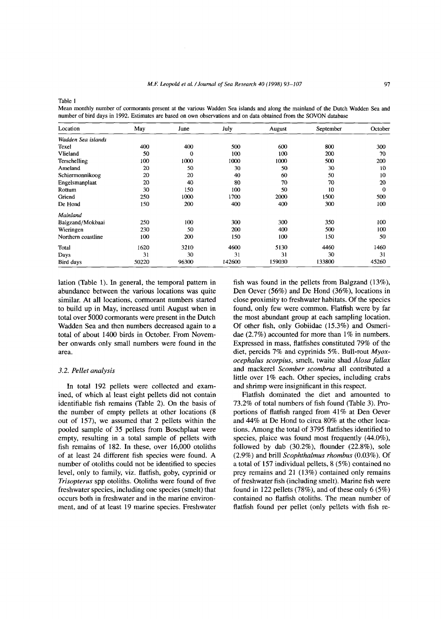Mean monthly number of cormorants present at the various Wadden Sea islands and along the mainland of the Dutch Wadden Sea and number of bird days in 1992. Estimates are based on own observations and on data obtained from the SOVON database

| Location           | May   | June  | July   | August | September | October  |
|--------------------|-------|-------|--------|--------|-----------|----------|
| Wadden Sea islands |       |       |        |        |           |          |
| Texel              | 400   | 400   | 500    | 600    | 800       | 300      |
| Vlieland           | 50    | 0     | 100    | 100    | 200       | 70       |
| Terschelling       | 100   | 1000  | 1000   | 1000   | 500       | 200      |
| Ameland            | 20    | 50    | 30     | 50     | 30        | 10       |
| Schiermonnikoog    | 20    | 20    | 40     | 60     | 50        | 10       |
| Engelsmanplaat     | 20    | 40    | 80     | 70     | 70        | 20       |
| Rottum             | 30    | 150   | 100    | 50     | 10        | $\bf{0}$ |
| Griend             | 250   | 1000  | 1700   | 2000   | 1500      | 500      |
| De Hond            | 150   | 200   | 400    | 400    | 300       | 100      |
| Mainland           |       |       |        |        |           |          |
| Balgzand/Mokbaai   | 250   | 100   | 300    | 300    | 350       | 100      |
| Wieringen          | 230   | 50    | 200    | 400    | 500       | 100      |
| Northern coastline | 100   | 200   | 150    | 100    | 150       | 50       |
| Total              | 1620  | 3210  | 4600   | 5130   | 4460      | 1460     |
| Days               | 31    | 30    | 31     | 31     | 30        | 31       |
| Bird days          | 50220 | 96300 | 142600 | 159030 | 133800    | 45260    |

lation (Table 1). In general, the temporal pattem in abundance between the various locations was quite similar. At all locations, cormorant numbers started to build up in May, increased until August when in total over 5000 cormorants were present in the Dutch Wadden Sea and then numbers decreased again to a total of about 1400 birds in October. From November onwards only small numbers were found in the area.

#### *3.2. Pellet analysis*

In total 192 pellets were collected and examined, of which al least eight pellets did not contain identifiable fish remains (Table 2). On the basis of the number of empty pellets at other locations (8 out of 157), we assumed that 2 pellets within the pooled sample of 35 pellets from Boschplaat were empty, resulting in a total sample of pellets with fish remains of 182. In these, over 16,000 otoliths of at least 24 different fish species were found. A number of otoliths could not be identified to species level, only to family, viz. flatfish, goby, cyprinid or *Trisopterus* spp otoliths. Otoliths were found of five freshwater species, including one species (smelt) that occurs both in freshwater and in the marine environment, and of at least 19 marine species. Freshwater fish was found in the pellets from Balgzand (13%), Den Oever (56%) and De Hond (36%), locations in close proximity to freshwater habitats. Of the species found, only few were common. Flatfish were by far the most abundant group at each sampling location. Of other fish, only Gobiidae (15.3%) and Osmeridae (2.7%) accounted for more than 1% in numbers. Expressed in mass, flatfishes constituted 79% of the diet, percids 7% and cyprinids 5%. Bull-rout *Myoxocephalus scorpius,* smelt, twaite shad *Alosa fallax* and mackerel *Scomber scombrus* all contributed a little over 1% each. Other species, including crabs and shrimp were insignificant in this respect.

Flatfish dominated the diet and amounted to 73.2% of total numbers of fish found (Table 3). Proportions of flatfish ranged from 41% at Den Oever and 44% at De Hond to circa 80% at the other locations. Among the total of 3795 flatfishes identified to species, plaice was found most frequently (44.0%), followed by dab (30.2%), flounder (22.8%), sole (2.9%) and brill *Scophthalmus rhombus* (0.03%). Of a total of 157 individual pellets, 8 (5%) contained no prey remains and 21 (13%) contained only remains of freshwater fish (including smelt). Marine fish were found in 122 pellets (78%), and of these only 6 (5%) contained no flatfish otoliths. The mean number of flatfish found per pellet (only pellets with fish re-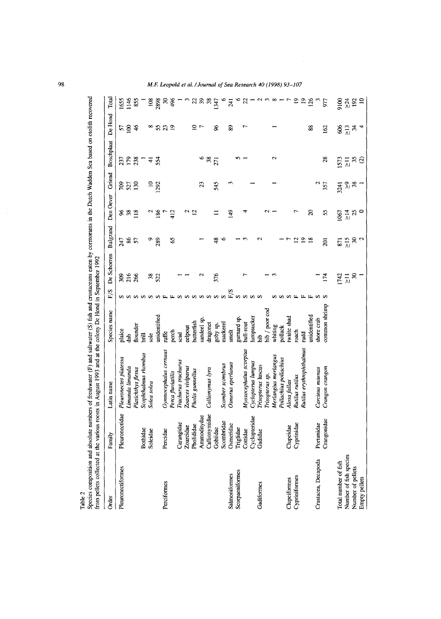| from pellets collected at the various |                 | Species composition and absolute numbers of freshwater (F) and saltwater (S) fish and crustaceans eaten by cormorants in the Durch Wadden Sea based on otolith recovered<br>roosts in August 1993 and at the colony De Hond in September 1992 |                |                            |                 |                 |                            |                   |                          |                 |                          |
|---------------------------------------|-----------------|-----------------------------------------------------------------------------------------------------------------------------------------------------------------------------------------------------------------------------------------------|----------------|----------------------------|-----------------|-----------------|----------------------------|-------------------|--------------------------|-----------------|--------------------------|
| Order                                 | Family          | Latin name                                                                                                                                                                                                                                    | Species name   | F/S                        | De Schorren     | Balgzand        | Den Oever                  | Griend            | Boschplaat               | De Hond         | Total                    |
| Pleuronectiformes                     | Pleuronectidae  | Pleuronectes platessa                                                                                                                                                                                                                         | plaice         |                            | 309             | 247             |                            |                   |                          |                 | 1655                     |
|                                       |                 | Limanda limanda                                                                                                                                                                                                                               | dab            | ທທທທ                       | 216             | $rac{2}{3}$     | 881                        | $\frac{709}{527}$ | 237<br>179<br>238        | $\frac{25}{18}$ | 146                      |
|                                       |                 | Platichthys flesus                                                                                                                                                                                                                            | flounder       |                            | 266             |                 |                            | $\overline{50}$   |                          | $\frac{4}{6}$   | 855                      |
|                                       | Bothidae        | Scophthalmus rhombus                                                                                                                                                                                                                          | 扂              |                            |                 |                 |                            |                   | $\overline{a}$           |                 | $\overline{\phantom{0}}$ |
|                                       | Soleidae        | Solea solea                                                                                                                                                                                                                                   | sole           | S                          |                 | ç               |                            | $\overline{10}$   | $\pm$                    | $\infty$        | 108                      |
|                                       |                 |                                                                                                                                                                                                                                               | unidentified   | $\boldsymbol{\nu}$         | $rac{38}{522}$  | 289             | 186                        | 292               | 554                      | 55              | 2898                     |
| Perciformes                           | Percidae        | Gymnocephalus cernuus                                                                                                                                                                                                                         | ruffe          | щ                          |                 |                 |                            |                   |                          |                 |                          |
|                                       |                 | Perca fluviatilis                                                                                                                                                                                                                             | perch          | $\mathbf{L}$               |                 | S               | 412                        |                   |                          | $\overline{19}$ | 36 <sup>6</sup>          |
|                                       | Carangidae      | Trachurus trachurus                                                                                                                                                                                                                           | scad           |                            |                 |                 |                            |                   |                          |                 |                          |
|                                       | Zoarcidae       | Zoarces viviparus                                                                                                                                                                                                                             | eelpout        |                            |                 |                 |                            |                   |                          |                 |                          |
|                                       | Pholididae      | Pholis gunnellus                                                                                                                                                                                                                              | butterfish     |                            |                 |                 | $\frac{5}{2}$              |                   |                          | $\frac{1}{2}$   |                          |
|                                       | Ammoditydae     |                                                                                                                                                                                                                                               | sandeel sp.    |                            | ∾               |                 |                            | 23                |                          |                 |                          |
|                                       | Callionymidae   | Callionymus lyra                                                                                                                                                                                                                              | dragonet       |                            |                 |                 |                            |                   |                          |                 |                          |
|                                       | Gobiidae        |                                                                                                                                                                                                                                               | goby sp.       | ananan                     | 376             | $\frac{8}{4}$   |                            | 545               | $6\frac{8}{271}$         | X               |                          |
|                                       | Scombridae      | Scomber scombrus                                                                                                                                                                                                                              | mackerel       | $\boldsymbol{\mathcal{D}}$ |                 | $\sim$          |                            |                   |                          |                 | $\circ$                  |
| Salmoniformes                         | Osmeridae       | Osmerus eperlanus                                                                                                                                                                                                                             | smelt          | ${\rm F/S}$                |                 |                 | 149                        | 3                 |                          | 89              | 241                      |
| Scorpaeniformes                       | Triglidae       |                                                                                                                                                                                                                                               | gurnard sp.    | $\boldsymbol{\sigma}$      |                 |                 |                            |                   | n -                      |                 |                          |
|                                       | Cottidae        | Myoxocephalus scorpius                                                                                                                                                                                                                        | bull-rout      | $\sim$                     | <u>r</u>        | $\epsilon$      | ෑ                          |                   |                          |                 | $60 - 60 = 60$           |
|                                       | Cyclopteridae   | Cyclopterus lumpus                                                                                                                                                                                                                            | lumpsucker     |                            |                 |                 |                            |                   |                          |                 |                          |
| Gadiformes                            | Gadidae         | Trisopterus luscus                                                                                                                                                                                                                            | ЪЪ             | $\boldsymbol{\mathcal{D}}$ |                 | N               |                            |                   |                          |                 |                          |
|                                       |                 | risopterus sp.                                                                                                                                                                                                                                | bib / poor cod |                            |                 |                 | $\sim$                     |                   |                          |                 |                          |
|                                       |                 | Merlangius merlangus                                                                                                                                                                                                                          | whiting        | ω                          | 3               |                 |                            |                   | $\mathbf{\tilde{c}}$     |                 |                          |
|                                       |                 | Pollachius pollachius                                                                                                                                                                                                                         | pollack        |                            |                 |                 |                            |                   |                          |                 |                          |
| Clupeiformes                          | Clupeidae       | Alosa fallax                                                                                                                                                                                                                                  | twaite shad    | $\boldsymbol{\omega}$      |                 |                 |                            |                   |                          |                 |                          |
| Cypriniformes                         | Cyprinidae      | Rutilus rutilus                                                                                                                                                                                                                               | roach          | 巴                          |                 | $\frac{2}{2}$   | ↽                          |                   |                          |                 | 99                       |
|                                       |                 | Rutilus erythrophthalmus                                                                                                                                                                                                                      | <b>Tudd</b>    | щ                          |                 |                 |                            |                   |                          |                 |                          |
|                                       |                 |                                                                                                                                                                                                                                               | unidentified   | щ                          |                 | $\overline{18}$ | $\boldsymbol{\mathcal{Z}}$ |                   |                          | 88              | 126                      |
| Crustacea, Decapoda                   | Portunidae      | Carcinus maenas                                                                                                                                                                                                                               | shore crab     | S                          |                 |                 |                            |                   |                          |                 |                          |
|                                       | g<br>Crangonida | Crangon crangon                                                                                                                                                                                                                               | common shrimp  |                            | 174             | $\overline{a}$  | 55                         | 357               | 28                       | 162             | 977                      |
| Total number of fish                  |                 |                                                                                                                                                                                                                                               |                |                            |                 | 871             | 1067                       | 3241              | 1573                     | 8               | $\frac{8}{10}$           |
| Number of fish species                |                 |                                                                                                                                                                                                                                               |                |                            |                 | $\geq 15$       | $\frac{4}{11}$             |                   |                          | $\geq$ 13       |                          |
| Number of pellets                     |                 |                                                                                                                                                                                                                                               |                |                            | $1742$<br>$713$ |                 |                            | $\frac{5}{28}$    |                          |                 | <u> 참용</u> =             |
| Empty pellets                         |                 |                                                                                                                                                                                                                                               |                |                            |                 | $\frac{30}{2}$  | 25                         |                   | $\frac{1}{2}$ is $\odot$ | $\frac{4}{4}$   |                          |

Species composition and absolute numbers of freshwater (F) and saltwater (S) fish and crustaceans eaten by cormorants in the Dutch Wadden Sea based on otolith recovered ants in the Dutch Wadden Sea based on otolith recov  $\tilde{\mathbf{r}}$ antain mposition and absolute numbers of freshwater  $(F)$  and saltwater  $(S)$  fish and cre Table 2<br>Species 6

98 *M.F. Leopold et al. / Journal of Sea Research 40 (1998) 93-107* 

 $\bar{\gamma}$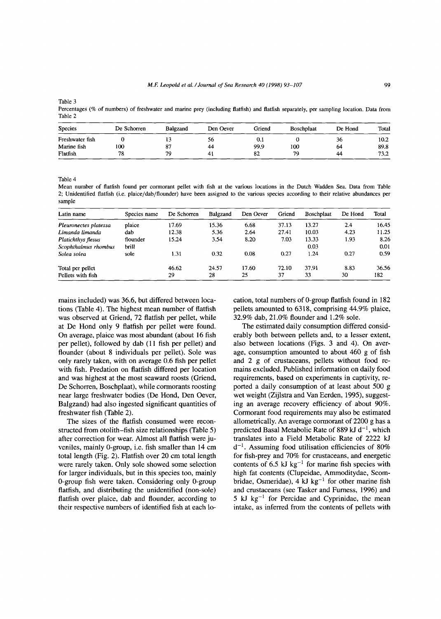Percentages (% of numbers) of freshwater and marine prey (including flatfish) and flatfish separately, per sampling location. Data from Table 2

| <b>Species</b>  | De Schorren | <b>Balgzand</b> | Den Oever | Griend | Boschplaat | De Hond | Total |
|-----------------|-------------|-----------------|-----------|--------|------------|---------|-------|
| Freshwater fish |             |                 | 56        | V.I    |            | 50      | 10.2  |
| Marine fish     | 100         | o٠<br>Ο.        | 44        | 99.9   | 100        | 64      | 89.8  |
| Flatfish        | 78          | 70              |           | 82     | 79         | 44      | 73.2  |

Table 4

Mean number of flatfish found per cormorant pellet with fish at the various locations in the Dutch Wadden Sea. Data from Table 2; Unidentified flatfish (i.e. plaice/dab/flounder) have been assigned to the various species according to their relative abundances per sample

| Latin name            | Species name | De Schorren | <b>Balgzand</b> | Den Oever | Griend | <b>Boschplaat</b> | De Hond | Total |
|-----------------------|--------------|-------------|-----------------|-----------|--------|-------------------|---------|-------|
| Pleuronectes platessa | plaice       | 17.69       | 15.36           | 6.68      | 37.13  | 13.27             | 2.4     | 16.45 |
| Limanda limanda       | dab          | 12.38       | 5.36            | 2.64      | 27.41  | 10.03             | 4.23    | 11.25 |
| Platichthys flesus    | flounder     | 15.24       | 3.54            | 8.20      | 7.03   | 13.33             | 1.93    | 8.26  |
| Scophthalmus rhombus  | brill        |             |                 |           |        | 0.03              |         | 0.01  |
| Solea solea           | sole         | 1.31        | 0.32            | 0.08      | 0.27   | 1.24              | 0.27    | 0.59  |
| Total per pellet      |              | 46.62       | 24.57           | 17.60     | 72.10  | 37.91             | 8.83    | 36.56 |
| Pellets with fish     |              | 29          | 28              | 25        | 37     | 33                | 30      | 182   |

mains included) was 36.6, but differed between locations (Table 4). The highest mean number of flatfish was observed at Griend, 72 flatfish per pellet, while at De Hond only 9 flatfish per pellet were found. On average, plaice was most abundant (about 16 fish per pellet), followed by dab (11 fish per pellet) and flounder (about 8 individuals per pellet). Sole was only rarely taken, with on average 0.6 fish per pellet with fish. Predation on flatfish differed per location and was highest at the most seaward roosts (Griend, De Schorren, Boschplaat), while cormorants roosting near large freshwater bodies (De Hond, Den Oever, Balgzand) had also ingested significant quantities of freshwater fish (Table 2).

The sizes of the flatfish consumed were reconstructed from otolith-fish size relationships (Table 5) after correction for wear. Almost all flatfish were juveniles, mainly 0-group, i.e. fish smaller than 14 cm total length (Fig. 2). Flatfish over 20 cm total length were rarely taken. Only sole showed some selection for larger individuals, but in this species too, mainly 0-group fish were taken. Considering only 0-group flatfish, and distributing the unidentified (non-sole) flatfish over plaice, dab and flounder, according to their respective numbers of identified fish at each location, total numbers of 0-group flatfish found in 182 pellets amounted to 6318, comprising 44.9% plaice, 32.9% dab, 21.0% flounder and 1.2% sole.

The estimated daily consumption differed considerably both between pellets and, to a lesser extent, also between locations (Figs. 3 and 4). On average, consumption amounted to about 460 g of fish and 2 g of crustaceans, pellets without food remains excluded. Published information on daily food requirements, based on experiments in captivity, reported a daily consumption of at least about 500 g wet weight (Zijlstra and Van Eerden, 1995), suggesting an average recovery efficiency of about 90%. Cormorant food requirements may also be estimated allometrically. An average cormorant of 2200 g has a predicted Basal Metabolic Rate of 889 kJ  $d^{-1}$ , which translates into a Field Metabolic Rate of 2222 kJ  $d^{-1}$ . Assuming food utilisation efficiencies of 80% for fish-prey and 70% for crustaceans, and energetic contents of 6.5 kJ kg<sup>-1</sup> for marine fish species with high fat contents (Clupeidae, Ammoditydae, Scombridae, Osmeridae), 4 kJ kg<sup>-1</sup> for other marine fish and crustaceans (see Tasker and Furness, 1996) and 5 kJ  $kg^{-1}$  for Percidae and Cyprinidae, the mean intake, as inferred from the contents of pellets with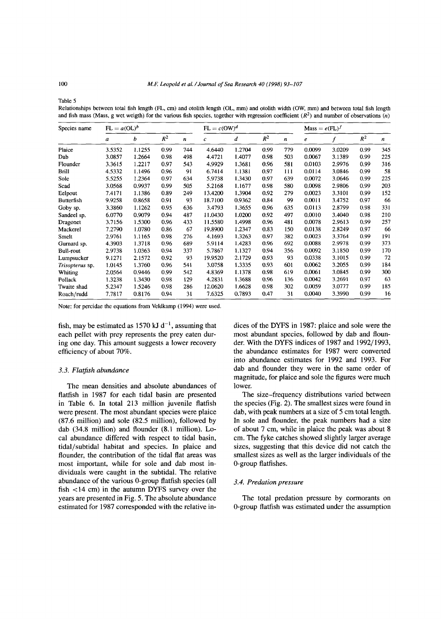Relationships between total fish length (FL, cm) and otolith length (OL, mm) and otolith width (OW, mm) and between total fish length and fish mass (Mass, g wet weigth) for the various fish species, together with regression coefficient  $(R^2)$  and number of observations (*n*)

| Species name      | $FL = a(OL)^b$ |        |       |     | $FL = c(OW)^d$ |        |       | $Mass = e(FL)^f$ |        |        |       |                  |
|-------------------|----------------|--------|-------|-----|----------------|--------|-------|------------------|--------|--------|-------|------------------|
|                   | a              | b      | $R^2$ | n   | c              | d      | $R^2$ | n                | e      | f      | $R^2$ | $\boldsymbol{n}$ |
| Plaice            | 3.5352         | 1.1255 | 0.99  | 744 | 4.6440         | 1.2704 | 0.99  | 779              | 0.0099 | 3.0209 | 0.99  | 345              |
| Dab               | 3.0857         | 1.2664 | 0.98  | 498 | 4.4721         | 1.4077 | 0.98  | 503              | 0.0067 | 3.1389 | 0.99  | 225              |
| Flounder          | 3.3615         | 1.2217 | 0.97  | 543 | 4.9929         | 1.3681 | 0.96  | 581              | 0.0103 | 2.9976 | 0.99  | 316              |
| Brill             | 4.5332         | 1.1496 | 0.96  | 91  | 6.7414         | 1.1381 | 0.97  | 111              | 0.0114 | 3.0846 | 0.99  | 58               |
| Sole              | 5.5255         | 1.2364 | 0.97  | 634 | 5.9738         | 1.3430 | 0.97  | 639              | 0.0072 | 3.0646 | 0.99  | 225              |
| Scad              | 3.0568         | 0.9937 | 0.99  | 505 | 5.2168         | 1.1677 | 0.98  | 580              | 0.0098 | 2.9806 | 0.99  | 203              |
| Eelpout           | 7.4171         | 1.1386 | 0.89  | 249 | 13.4200        | 1.3904 | 0.92  | 279              | 0.0023 | 3.3101 | 0.99  | 152              |
| <b>Butterfish</b> | 9.9258         | 0.8658 | 0.91  | 93  | 18.7100        | 0.9362 | 0.84  | 99               | 0.0011 | 3.4752 | 0.97  | 66               |
| Goby sp.          | 3.3860         | 1.1262 | 0.95  | 636 | 3.4793         | 1.3655 | 0.96  | 635              | 0.0113 | 2.8799 | 0.98  | 331              |
| Sandeel sp.       | 6.0770         | 0.9079 | 0.94  | 487 | 11.0430        | 1.0200 | 0.92  | 497              | 0.0010 | 3.4040 | 0.98  | 210              |
| Dragonet          | 3.7156         | 1.5300 | 0.96  | 433 | 11.5580        | 1.4998 | 0.96  | 481              | 0.0078 | 2.9613 | 0.99  | 257              |
| Mackerel          | 7.2790         | 1.0780 | 0.86  | 67  | 19.8900        | 1.2347 | 0.83  | 150              | 0.0138 | 2.8249 | 0.97  | 66               |
| Smelt             | 2.9761         | 1.1165 | 0.98  | 276 | 4.1693         | 1.3263 | 0.97  | 382              | 0.0023 | 3.3764 | 0.99  | 191              |
| Gurnard sp.       | 4.3903         | 1.3718 | 0.96  | 689 | 5.9114         | 1.4283 | 0.96  | 692              | 0.0088 | 2.9978 | 0.99  | 373              |
| <b>Bull-rout</b>  | 2.9738         | 1.0363 | 0.94  | 337 | 5.7867         | 1.1327 | 0.94  | 356              | 0.0092 | 3.1850 | 0.99  | 170              |
| Lumpsucker        | 9.1271         | 2.1572 | 0.92  | 93  | 19.9520        | 2.1729 | 0.93  | 93               | 0.0338 | 3.1015 | 0.99  | 72               |
| Trisopterus sp.   | 1.0145         | 1.3760 | 0.96  | 541 | 3.0758         | 1.3335 | 0.93  | 601              | 0.0062 | 3.2055 | 0.99  | 184              |
| Whiting           | 2.0564         | 0.9446 | 0.99  | 542 | 4.8369         | 1.1378 | 0.98  | 619              | 0.0061 | 3.0845 | 0.99  | 300              |
| Pollack           | 1.3238         | 1.3430 | 0.98  | 129 | 4.2831         | 1.3688 | 0.96  | 136              | 0.0042 | 3.2691 | 0.97  | 63               |
| Twaite shad       | 5.2347         | 1.5246 | 0.98  | 286 | 12.0620        | 1.6628 | 0.98  | 302              | 0.0059 | 3.0777 | 0.99  | 185              |
| Roach/rudd        | 7.7817         | 0.8176 | 0.94  | 31  | 7.6325         | 0.7893 | 0.47  | 31               | 0.0040 | 3.3990 | 0.99  | 16               |

Note: for percidae the equations from Veldkamp (1994) were used.

fish, may be estimated as 1570 kJ  $d^{-1}$ , assuming that each pellet with prey represents the prey eaten during one day. This amount suggests a lower recovery efficiency of about 70%.

## *3.3. Flatfish abundance*

The mean densities and absolute abundances of flatfish in 1987 for each tidal basin are presented in Table 6. In total 213 million juvenile flatfish were present. The most abundant species were plaice (87.6 million) and sole (82.5 million), followed by dab (34.8 million) and flounder (8.1 million). Local abundance differed with respect to tidal basin, tidal/subtidal habitat and species. In plaice and flounder, the contribution of the tidal flat areas was most important, while for sole and dab most individuals were caught in the subtidal. The relative abundance of the various 0-group flatfish species (all fish <14 cm) in the autumn DYFS survey over the years are presented in Fig. 5. The absolute abundance estimated for 1987 corresponded with the relative in-

dices of the DYFS in 1987: plaice and sole were the most abundant species, followed by dab and flounder. With the DYFS indices of 1987 and 1992/1993, the abundance estimates for 1987 were converted into abundance estimates for 1992 and 1993. For dab and flounder they were in the same order of magnitude, for plaice and sole the figures were much lower.

The size-frequency distributions varied between the species (Fig. 2). The smallest sizes were found in dab, with peak numbers at a size of 5 cm total length. In sole and flounder, the peak numbers had a size of about 7 cm, while in plaice the peak was about 8 cm. The fyke catches showed slightly larger average sizes, suggesting that this device did not catch the smallest sizes as well as the larger individuals of the 0-group flatfishes.

#### *3.4. Predation pressure*

The total predation pressure by cormorants on 0-group flatfish was estimated under the assumption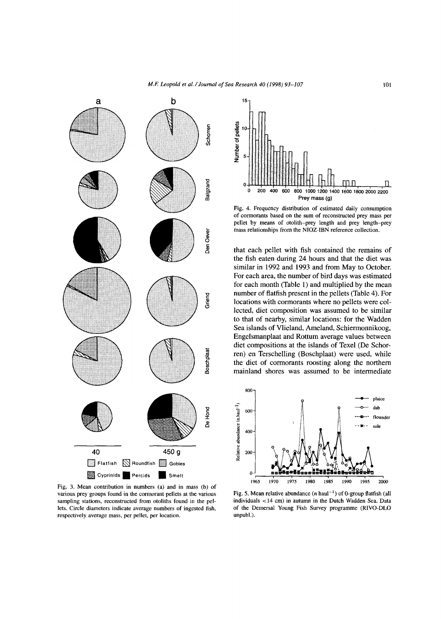

Fig. 3. Mean contribution in numbers (a) and in mass (b) of various prey groups found in the cormorant pellets at the various sampling stations, reconstructed from otoliths found in the pellets. Circle diameters indicate average numbers of ingested fish, respectively average mass, per pellet, per location.



Fig. 4. Frequency distribution of estimated daily consumption of cormorants based on the sum of reconstructed prey mass per pellet by means of otolith-prey length and prey length-prey mass relationships from the NIOZ-IBN reference collection.

that each pellet with fish contained the remains of the fish eaten during 24 hours and that the diet was similar in 1992 and 1993 and from May to October. For each area, the number of bird days was estimated for each month (Table 1) and multiplied by the mean number of flatfish present in the pellets (Table 4). For locations with cormorants where no pellets were collected, diet composition was assumed to be similar to that of nearby, similar locations: for the Wadden Sea islands of Vlieland, Ameland, Schiermonnikoog, Engelsmanplaat and Rottum average values between diet compositions at the islands of Texel (De Schorren) en Terschelling (Boschplaat) were used, while the diet of cormorants roosting along the northern mainland shores was assumed to be intermediate



Fig. 5. Mean relative abundance (*n* haul<sup>-1</sup>) of 0-group flatfish (all individuals <14 cm) in autumn in the Dutch Wadden Sea. Data of the Demersal Young Fish Survey programme (RIVO-DLO unpubl.).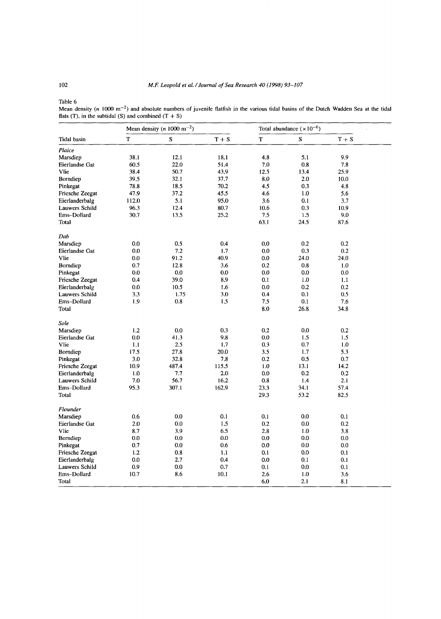Mean density (n 1000 m<sup>-2</sup>) and absolute numbers of juvenile flatfish in the various tidal basins of the Dutch Wadden Sea at the tidal flats (T), in the subtidal (S) and combined  $(T + S)$ 

|                        |             | Mean density (n 1000 m <sup>-2</sup> ) |          | Total abundance $(\times 10^{-6})$ |             |         |  |
|------------------------|-------------|----------------------------------------|----------|------------------------------------|-------------|---------|--|
| <b>Tidal</b> basin     | $\mathbf T$ | $\bf S$                                | $T + S$  | T                                  | $\mathbf S$ | $T + S$ |  |
| Plaice                 |             |                                        |          |                                    |             |         |  |
| Marsdiep               | 38.1        | 12.1                                   | 18.1     | 4.8                                | 5.1         | 9.9     |  |
| Eierlandse Gat         | 60.5        | 22.0                                   | 51.4     | 7.0                                | 0.8         | 7.8     |  |
| Vlie                   | 38.4        | 50.7                                   | 43.9     | 12.5                               | 13.4        | 25.9    |  |
| Borndiep               | 39.5        | 32.1                                   | 37.7     | 8.0                                | 2.0         | 10.0    |  |
| Pinkegat               | 78.8        | 18.5                                   | $70.2\,$ | 4.5                                | 0.3         | 4.8     |  |
| Friesche Zeegat        | 47.9        | 37.2                                   | 45.5     | 4.6                                | 1.0         | 5.6     |  |
| Eierlanderbalg         | 112.0       | 5.1                                    | 95.0     | 3.6                                | 0.1         | 3.7     |  |
| <b>Lauwers Schild</b>  | 96.3        | 12.4                                   | 80.7     | 10.6                               | 0.3         | 10.9    |  |
| Ems-Dollard            | 30.7        | 13.5                                   | 25.2     | 7.5                                | 1.5         | 9,0     |  |
| Total                  |             |                                        |          | 63.1                               | 24.5        | 87.6    |  |
| Dab                    |             |                                        |          |                                    |             |         |  |
| Marsdiep               | 0.0         | 0.5                                    | 0.4      | 0.0                                | 0.2         | 0.2     |  |
| Eierlandse Gat         | 0.0         | 7.2                                    | 1.7      | 0.0                                | 0.3         | 0.2     |  |
| Vlie                   | 0.0         | 91.2                                   | 40.9     | 0.0                                | 24.0        | 24.0    |  |
| Borndiep               | 0.7         | 12.8                                   | 3.6      | 0.2                                | 0.8         | 1.0     |  |
| Pinkegat               | 0.0         | 0.0                                    | 0.0      | 0.0                                | 0.0         | 0.0     |  |
| Friesche Zeegat        | 0.4         | 39.0                                   | 8.9      | 0.1                                | 1.0         | 1.1     |  |
| Eierlanderbalg         | 0.0         | 10.5                                   | 1.6      | 0.0                                | 0.2         | 0.2     |  |
| Lauwers Schild         | 3.3         | 1.75                                   | 3.0      | 0.4                                | 0.1         | 0.5     |  |
| Ems-Dollard            | 1.9         | 0.8                                    | 1.5      | 7.5                                | 0.1         | 7.6     |  |
| Total                  |             |                                        |          | 8.0                                | 26.8        | 34.8    |  |
| Sole                   |             |                                        |          |                                    |             |         |  |
| Marsdiep               | 1.2         | 0.0                                    | 0.3      | 0.2                                | 0.0         | 0.2     |  |
| Eierlandse Gat         | 0.0         | 41.3                                   | 9.8      | 0.0                                | 1.5         | 1.5     |  |
| Vlie                   | 1.1         | 2.5                                    | 1.7      | 0.3                                | 0.7         | 1.0     |  |
| Borndiep               | 17.5        | 27.8                                   | 20.0     | 3.5                                | 1.7         | 5.3     |  |
| Pinkegat               | 3.0         | 32.8                                   | 7.8      | 0.2                                | 0.5         | 0.7     |  |
| Friesche Zeegat        | 10.9        | 487.4                                  | 115.5    | 1.0                                | 13.1        | 14.2    |  |
| Eierlanderbalg         | 1.0         | 7.7                                    | 2.0      | 0.0                                | 0.2         | 0.2     |  |
| Lauwers Schild         | 7.0         | 56.7                                   | 16.2     | 0.8                                | 1.4         | 2.1     |  |
| Ems-Dollard            | 95.3        | 307.1                                  | 162.9    | 23.3                               | 34.1        | 57.4    |  |
| Total                  |             |                                        |          | 29.3                               | 53.2        | 82.5    |  |
| Flounder               |             |                                        |          |                                    |             |         |  |
| Marsdiep               | 0.6         | 0.0                                    | 0.1      | 0.1                                | 0.0         | 0.1     |  |
| Eierlandse Gat         | 2.0         | 0.0                                    | 1.5      | 0.2                                | 0.0         | 0.2     |  |
| Vlie                   | 8.7         | 3.9                                    | 6.5      | 2.8                                | 1.0         | 3.8     |  |
| Borndiep               | 0.0         | 0.0                                    | 0.0      | 0.0                                | 0.0         | 0.0     |  |
| Pinkegat               | 0.7         | 0.0                                    | 0.6      | 0.0                                | 0.0         | 0.0     |  |
| <b>Friesche Zeegat</b> | 1.2         | 0.8                                    | 1.1      | 0.1                                | 0.0         | 0.1     |  |
| Eierlanderbalg         | 0.0         | 2.7                                    | 0.4      | 0.0                                | 0.1         | 0.1     |  |
| Lauwers Schild         | 0.9         | 0.0                                    | 0.7      | 0.1                                | 0.0         | 0.1     |  |
| Ems-Dollard            | 10.7        | 8.6                                    | 10.1     | 2.6                                | 1.0         | 3.6     |  |
| Total                  |             |                                        |          | 6.0                                | 2.1         | 8.1     |  |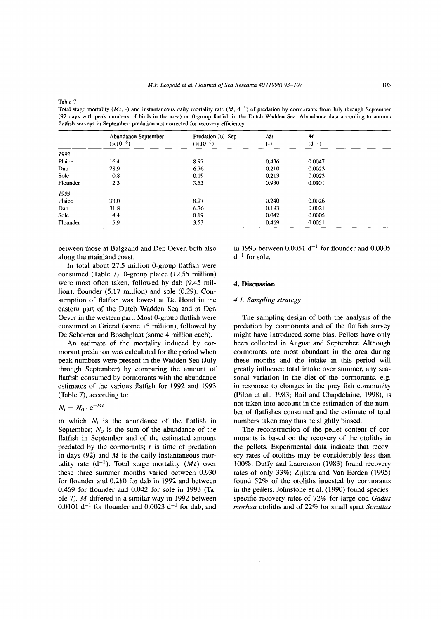Total stage mortality (Mt, -) and instantaneous daily mortality rate (M,  $d^{-1}$ ) of predation by cormorants from July through September (92 days with peak numbers of birds in the area) on 0-group flatfish in the Dutch Wadden Sea. Abundance data according to autumn flatfish surveys in September; predation not corrected for recovery efficiency

|          | Abundance September<br>$(x10^{-6})$ | Predation Jul-Sep<br>$(x10^{-6})$ | Mt<br>$\left( -\right)$ | $\boldsymbol{M}$<br>$(d^{-1})$ |  |
|----------|-------------------------------------|-----------------------------------|-------------------------|--------------------------------|--|
|          |                                     |                                   |                         |                                |  |
| 1992     |                                     |                                   |                         |                                |  |
| Plaice   | 16.4                                | 8.97                              | 0.436                   | 0.0047                         |  |
| Dab      | 28.9                                | 6.76                              | 0.210                   | 0.0023                         |  |
| Sole     | 0.8                                 | 0.19                              | 0.213                   | 0.0023                         |  |
| Flounder | 2.3                                 | 3.53                              | 0.930                   | 0.0101                         |  |
| 1993     |                                     |                                   |                         |                                |  |
| Plaice   | 33.0                                | 8.97                              | 0.240                   | 0.0026                         |  |
| Dab      | 31.8                                | 6.76                              | 0.193                   | 0.0021                         |  |
| Sole     | 4.4                                 | 0.19                              | 0.042                   | 0.0005                         |  |
| Flounder | 5.9                                 | 3.53                              | 0.469                   | 0.0051                         |  |

between those at Balgzand and Den Oever, both also along the mainland coast.

In total about 27.5 million 0-group flatfish were consumed (Table 7). 0-group plaice (12.55 million) were most often taken, followed by dab (9.45 million), flounder (5.17 million) and sole (0.29). Consumption of flatfish was lowest at De Hond in the eastern part of the Dutch Wadden Sea and at Den Oever in the western part. Most 0-group flatfish were consumed at Griend (some 15 million), followed by De Schorren and Boschplaat (some 4 million each).

An estimate of the mortality induced by cormorant predation was calculated for the period when peak numbers were present in the Wadden Sea (July through September) by comparing the amount of flatfish consumed by cormorants with the abundance estimates of the various flatfish for 1992 and 1993 (Table 7), according to:

$$
N_{\rm t}=N_0\cdot {\rm e}^{-Mt}
$$

in which  $N_t$  is the abundance of the flatfish in September;  $N_0$  is the sum of the abundance of the flatfish in September and of the estimated amount predated by the cormorants; *t* is time of predation in days (92) and *M* is the daily instantaneous mortality rate  $(d^{-1})$ . Total stage mortality  $(Mt)$  over these three summer months varied between 0.930 for flounder and 0.210 for dab in 1992 and between 0.469 for flounder and 0.042 for sole in 1993 (Table 7). *M* differed in a similar way in 1992 between 0.0101  $d^{-1}$  for flounder and 0.0023  $d^{-1}$  for dab, and

in 1993 between  $0.0051 d^{-1}$  for flounder and  $0.0005$  $d^{-1}$  for sole.

## **4. Discussion**

## *4.1. Sampling strategy*

The sampling design of both the analysis of the predation by cormorants and of the flatfish survey might have introduced some bias. Pellets have only been collected in August and September. Although cormorants are most abundant in the area during these months and the intake in this period will greatly influence total intake over summer, any seasonal variation in the diet of the cormorants, e.g. in response to changes in the prey fish community (Pilon et al., 1983; Rail and Chapdelaine, 1998), is not taken into account in the estimation of the number of flatfishes consumed and the estimate of total numbers taken may thus be slightly biased.

The reconstruction of the pellet content of cormorants is based on the recovery of the otoliths in the pellets. Experimental data indicate that recovery rates of otoliths may be considerably less than 100%. Duffy and Laurenson (1983) found recovery rates of only 33%; Zijlstra and Van Eerden (1995) found 52% of the otoliths ingested by cormorants in the pellets. Johnstone et al. (1990) found speciesspecific recovery rates of 72% for large cod *Gadus morhua* otoliths and of 22% for small sprat *Sprattus*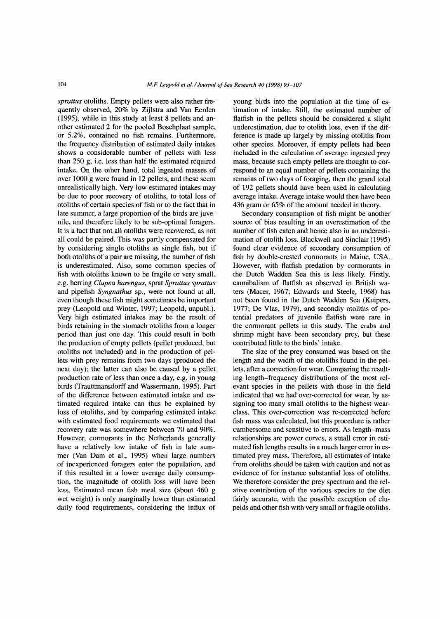*sprattus* otoliths. Empty pellets were also rather frequently observed, 20% by Zijlstra and Van Eerden (1995), while in this study at least 8 pellets and another estimated 2 for the pooled Boschplaat sample, or 5.2%, contained no fish remains. Furthermore, the frequency distribution of estimated daily intakes shows a considerable number of pellets with less than 250 g, i.e. less than half the estimated required intake. On the other hand, total ingested masses of over 1000 g were found in 12 pellets, and these seem unrealistically high. Very low estimated intakes may be due to poor recovery of otoliths, to total loss of otoliths of certain species of fish or to the fact that in late summer, a large proportion of the birds are juvenile, and therefore likely to be sub-optimal foragers. It is a fact that not all otoliths were recovered, as not all could be paired. This was partly compensated for by considering single otoliths as single fish, but if both otoliths of a pair are missing, the number of fish is underestimated. Also, some common species of fish with otoliths known to be fragile or very small, e.g. herring *Clupea harengus*, sprat *Sprattus sprattus* and pipefish *Syngnathus* sp., were not found at all, even though these fish might sometimes be important prey (Leopold and Winter, 1997; Leopold, unpubl.). Very high estimated intakes may be the result of birds retaining in the stomach otoliths from a longer period than just one day. This could result in both the production of empty pellets (pellet produced, but otoliths not included) and in the production of pellets with prey remains from two days (produced the next day); the latter can also be caused by a pellet production rate of less than once a day, e.g. in young birds (Trauttmansdorff and Wassermann, 1995). Part of the difference between estimated intake and estimated required intake can thus be explained by loss of otoliths, and by comparing estimated intake with estimated food requirements we estimated that recovery rate was somewhere between 70 and 90%. However, cormorants in the Netherlands generally have a relatively low intake of fish in late summer (Van Dam et al., 1995) when large numbers of inexperienced foragers enter the population, and if this resulted in a lower average daily consumption, the magnitude of otolith loss will have been less. Estimated mean fish meal size (about 460 g wet weight) is only marginally lower than estimated daily food requirements, considering the influx of

young birds into the population at the time of estimation of intake. Still, the estimated number of flatfish in the pellets should be considered a slight underestimation, due to otolith loss, even if the difference is made up largely by missing otoliths from other species. Moreover, if empty pellets had been included in the calculation of average ingested prey mass, because such empty pellets are thought to correspond to an equal number of pellets containing the remains of two days of foraging, then the grand total of 192 pellets should have been used in calculating average intake. Average intake would then have been 436 gram or 65% of the amount needed in theory.

Secondary consumption of fish might be another source of bias resulting in an overestimation of the number of fish eaten and hence also in an underestimation of otolith loss. Blackwell and Sinclair (1995) found clear evidence of secondary consumption of fish by double-crested cormorants in Maine, USA. However, with flatfish predation by cormorants in the Dutch Wadden Sea this is less likely. Firstly, cannibalism of flatfish as observed in British waters (Macer, 1967; Edwards and Steele, 1968) has not been found in the Dutch Wadden Sea (Kuipers, 1977; De Vlas, 1979), and secondly otoliths of potential predators of juvenile flatfish were rare in the cormorant pellets in this study. The crabs and shrimp might have been secondary prey, but these contributed little to the birds' intake.

The size of the prey consumed was based on the length and the width of the otoliths found in the pellets, after a correction for wear. Comparing the resulting length-frequency distributions of the most relevant species in the pellets with those in the field indicated that we had over-corrected for wear, by assigning too many small otoliths to the highest wearclass. This over-correction was re-corrected before fish mass was calculated, but this procedure is rather cumbersome and sensitive to errors. As length-mass relationships are power curves, a small error in estimated fish lengths results in a much larger error in estimated prey mass. Therefore, all estimates of intake from otoliths should be taken with caution and not as evidence of for instance substantial loss of otoliths. We therefore consider the prey spectrum and the relative contribution of the various species to the diet fairly accurate, with the possible exception of clupeids and other fish with very small or fragile otoliths.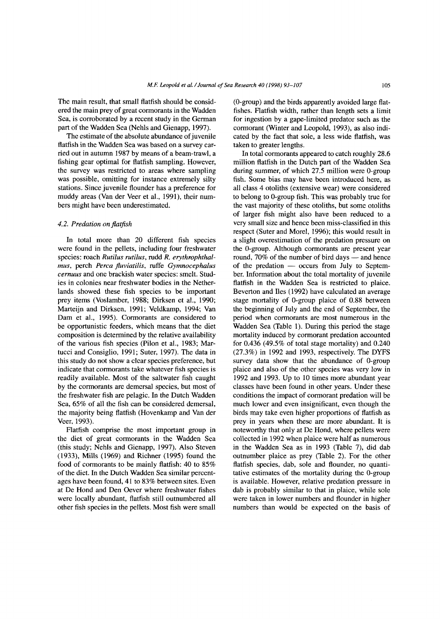The main result, that small flatfish should be considered the main prey of great cormorants in the Wadden Sea, is corroborated by a recent study in the German part of the Wadden Sea (Nehls and Gienapp, 1997).

The estimate of the absolute abundance of juvenile flatfish in the Wadden Sea was based on a survey carried out in autumn 1987 by means of a beam-trawl, a fishing gear optimal for flatfish sampling. However, the survey was restricted to areas where sampling was possible, omitting for instance extremely silty stations. Since juvenile flounder has a preference for muddy areas (Van der Veer et al., 1991), their numbers might have been underestimated.

## *4.2. Predation on flatfish*

In total more than 20 different fish species were found in the pellets, including four freshwater species: roach *Rutilus rutilus,* rudd *R. erythrophthalmus,* perch *Perca fluviatilis,* ruffe *Gymnocephalus cernuus* and one brackish water species: smelt. Studies in colonies near freshwater bodies in the Netherlands showed these fish species to be important prey items (Voslamber, 1988; Dirksen et al., 1990; Marteijn and Dirksen, 1991; Veldkamp, 1994; Van Dam et al., 1995). Cormorants are considered to be opportunistic feeders, which means that the diet composition is determined by the relative availability of the various fish species (Pilon et al., 1983; Martucci and Consiglio, 1991; Suter, 1997). The data in this study do not show a clear species preference, but indicate that cormorants take whatever fish species is readily available. Most of the saltwater fish caught by the cormorants are demersal species, but most of the freshwater fish are pelagic. In the Dutch Wadden Sea, 65% of all the fish can be considered demersal, the majority being flatfish (Hovenkamp and Van der Veer, 1993).

Flatfish comprise the most important group in the diet of great cormorants in the Wadden Sea (this study; Nehls and Gienapp, 1997). Also Steven (1933), Mills (1969) and Richner (1995) found the food of cormorants to be mainly flatfish: 40 to 85% of the diet. In the Dutch Wadden Sea similar percentages have been found, 41 to 83% between sites. Even at De Hond and Den Oever where freshwater fishes were locally abundant, flatfish still outnumbered all other fish species in the pellets. Most fish were small

(0-group) and the birds apparently avoided large flatfishes. Flatfish width, rather than length sets a limit for ingestion by a gape-limited predator such as the cormorant (Winter and Leopold, 1993), as also indicated by the fact that sole, a less wide flatfish, was taken to greater lengths.

In total cormorants appeared to catch roughly 28.6 million flatfish in the Dutch part of the Wadden Sea during summer, of which 27.5 million were 0-group fish. Some bias may have been introduced here, as all class 4 otoliths (extensive wear) were considered to belong to 0-group fish. This was probably true for the vast majority of these otoliths, but some otoliths of larger fish might also have been reduced to a very small size and hence been miss-classified in this respect (Suter and Morel, 1996); this would result in a slight overestimation of the predation pressure on the 0-group. Although cormorants are present year round, 70% of the number of bird days — and hence of the predation — occurs from July to September. Information about the total mortality of juvenile flatfish in the Wadden Sea is restricted to plaice. Beverton and lies (1992) have calculated an average stage mortality of 0-group plaice of 0.88 between the beginning of July and the end of September, the period when cormorants are most numerous in the Wadden Sea (Table 1). During this period the stage mortality induced by cormorant predation accounted for 0.436 (49.5% of total stage mortality) and 0.240 (27.3%) in 1992 and 1993, respectively. The DYFS survey data show that the abundance of 0-group plaice and also of the other species was very low in 1992 and 1993. Up to 10 times more abundant year classes have been found in other years. Under these conditions the impact of cormorant predation will be much lower and even insignificant, even though the birds may take even higher proportions of flatfish as prey in years when these are more abundant. It is noteworthy that only at De Hond, where pellets were collected in 1992 when plaice were half as numerous in the Wadden Sea as in 1993 (Table 7), did dab outnumber plaice as prey (Table 2). For the other flatfish species, dab, sole and flounder, no quantitative estimates of the mortality during the 0-group is available. However, relative predation pressure in dab is probably similar to that in plaice, while sole were taken in lower numbers and flounder in higher numbers than would be expected on the basis of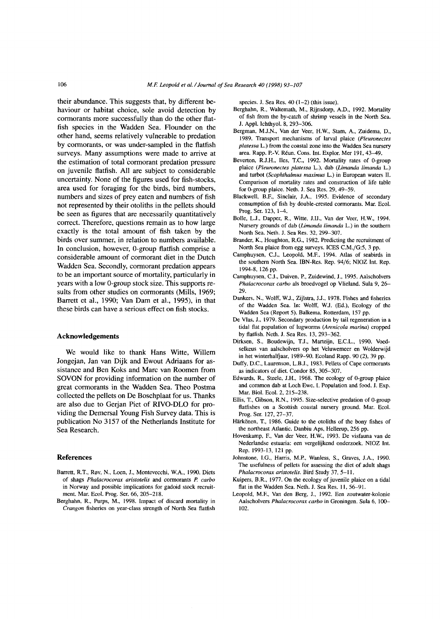their abundance. This suggests that, by different behaviour or habitat choice, sole avoid detection by cormorants more successfully than do the other flatfish species in the Wadden Sea. Flounder on the other hand, seems relatively vulnerable to predation by cormorants, or was under-sampled in the flatfish surveys. Many assumptions were made to arrive at the estimation of total cormorant predation pressure on juvenile flatfish. All are subject to considerable uncertainty. None of the figures used for fish-stocks, area used for foraging for the birds, bird numbers, numbers and sizes of prey eaten and numbers of fish not represented by their otoliths in the pellets should be seen as figures that are necessarily quantitatively correct. Therefore, questions remain as to how large exactly is the total amount of fish taken by the birds over summer, in relation to numbers available. In conclusion, however, 0-group flatfish comprise a considerable amount of cormorant diet in the Dutch Wadden Sea. Secondly, cormorant predation appears to be an important source of mortality, particularly in years with a low 0-group stock size. This supports results from other studies on cormorants (Mills, 1969; Barrett et al., 1990; Van Dam et al., 1995), in that these birds can have a serious effect on fish stocks.

## **Acknowledgements**

We would like to thank Hans Witte, Willem Jongejan, Jan van Dijk and Ewout Adriaans for assistance and Ben Koks and Mare van Roomen from SOVON for providing information on the number of great cormorants in the Wadden Sea. Theo Postma collected the pellets on De Boschplaat for us. Thanks are also due to Gerjan Piet of RIVO-DLO for providing the Demersal Young Fish Survey data. This is publication No 3157 of the Netherlands Institute for Sea Research.

#### **References**

- Barrett, R.T., R0v, N., Loen, J., Montevecchi, W.A., 1990. Diets of shags *Phalacrocorax aristotelis* and cormorants *P. carbo* in Norway and possible implications for gadoid stock recruitment. Mar. Ecol. Prog. Ser. 66, 205-218.
- Berghahn, R., Purps, M., 1998. Impact of discard mortality in *Crangon* fisheries on year-class strength of North Sea flatfish

species. J. Sea Res. 40 (1-2) (this issue).

- Berghahn, R., Waltemath, M., Rijnsdorp, A.D., 1992. Mortality of fish from the by-catch of shrimp vessels in the North Sea. J. Appl. Ichthyol. 8, 293-306.
- Bergman, M.J.N., Van der Veer, H.W., Stam, A., Zuidema, D., 1989. Transport mechanisms of larval plaice (*Pleuronectes platessa* L.) from the coastal zone into the Wadden Sea nursery area. Rapp. P.-V. Réun. Cons. Int. Explor. Mer 191, 43-49.
- Beverton, R.J.H., Iles, T.C., 1992. Mortality rates of 0-group plaice (*Pleuronectes platessa* L.), dab *(Limanda limanda* L.) and turbot *(Scophthalmus maximus* L.) in European waters II. Comparison of mortality rates and construction of life table for 0-group plaice. Neth. J. Sea Res. 29, 49-59.
- Blackwell, B.F., Sinclair, J.A., 1995. Evidence of secondary consumption of fish by double-crested cormorants. Mar. Ecol. Prog. Ser. 123, 1-4.
- Bolle, L.J., Dapper, R., Witte, J.IJ., Van der Veer, H.W., 1994. Nursery grounds of dab (Limanda limanda L.) in the southern North Sea. Neth. J. Sea Res. 32, 299-307.
- Brander, K., Houghton, R.G., 1982. Predicting the recruitment of North Sea plaice from egg surveys. ICES C.M./G:5, 3 pp.
- Camphuysen, C.J., Leopold, M.F., 1994. Atlas of seabirds in the southern North Sea. IBN-Res. Rep. 94/6; NIOZ Int. Rep. 1994-8, 126 pp.
- Camphuysen, C.J., Duiven, P., Zuidewind, J., 1995. Aalscholvers Phalacrocorax carbo als broedvogel op Vlieland. Sula 9, 26-29.
- Dankers, N., Wolff, W.J., Zijlstra, J.J., 1978. Fishes and fisheries of the Wadden Sea. In: Wolff, W.J. (Ed.), Ecology of the Wadden Sea (Report 5). Balkema, Rotterdam, 157 pp.
- De Vlas, J., 1979. Secondary production by tail regeneration in a tidal flat population of lugworms *(Arenicola marina)* cropped by flatfish. Neth. J. Sea Res. 13, 293-362.
- Dirksen, S., Boudewijn, T.J., Marteijn, E.C.L., 1990. Voedselkeus van aalscholvers op het Veluwemeer en Wolderwijd in het winterhalfjaar, 1989-90. Ecoland Rapp. 90 (2), 39 pp.
- Duffy, D.C., Laurenson, L.B.J., 1983. Pellets of Cape cormorants as indicators of diet. Condor 85, 305-307.
- Edwards, R., Steele, J.H., 1968. The ecology of 0-group plaice and common dab at Loch Ewe. I. Population and food. I. Exp. Mar. Biol. Ecol. 2, 215-238.
- Ellis, T., Gibson, R.N., 1995. Size-selective predation of 0-group flatfishes on a Scottish coastal nursery ground. Mar. Ecol. Prog. Ser. 127, 27-37.
- Härkönen, T., 1986. Guide to the otoliths of the bony fishes of the northeast Atlantic. Danbiu Aps, Hellerup, 256 pp.
- Hovenkamp, F., Van der Veer, H.W., 1993. De visfauna van de Nederlandse estuaria: een vergelijkend onderzoek. NIOZ Int. Rep. 1993-13, 121 pp.
- Johnstone, I.G., Harris, M.P., Wanless, S., Graves, J.A., 1990. The usefulness of pellets for assessing the diet of adult shags *Phalacrocorax aristotelis.* Bird Study 37, 5-11.
- Kuipers, B.R., 1977. On the ecology of juvenile plaice on a tidal flat in the Wadden Sea. Neth. J. Sea Res. 11, 56-91.
- Leopold, M.F., Van den Berg, J., 1992. Een zoutwater-kolonie Aalscholvers *Phalacrocorax carbo* in Groningen. Sula 6, 100- 102**.**